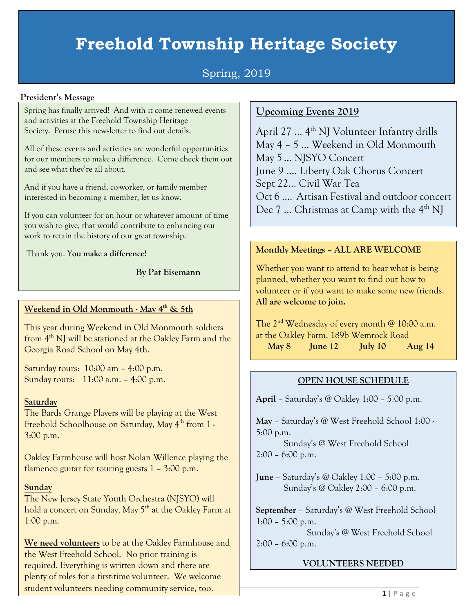## **Freehold Township Heritage Society**

### Spring, 2019

#### **President's Message**

Spring has finally arrived! And with it come renewed events and activities at the Freehold Township Heritage Society. Peruse this newsletter to find out details.

All of these events and activities are wonderful opportunities for our members to make a difference. Come check them out and see what they're all about.

And if you have a friend, co-worker, or family member interested in becoming a member, let us know.

If you can volunteer for an hour or whatever amount of time you wish to give, that would contribute to enhancing our work to retain the history of our great township.

Thank you. Y**ou make a difference!**

**By Pat Eisemann**

#### **Weekend in Old Monmouth - May 4th & 5th**

This year during Weekend in Old Monmouth soldiers from 4<sup>th</sup> NJ will be stationed at the Oakley Farm and the Georgia Road School on May 4th.

Saturday tours: 10:00 am – 4:00 p.m. Sunday tours: 11:00 a.m. – 4:00 p.m.

#### **Saturday**

The Bards Grange Players will be playing at the West Freehold Schoolhouse on Saturday, May 4<sup>th</sup> from 1 -3:00 p.m.

Oakley Farmhouse will host Nolan Willence playing the flamenco guitar for touring guests 1 – 3:00 p.m.

#### **Sunday**

The New Jersey State Youth Orchestra (NJSYO) will hold a concert on Sunday, May 5<sup>th</sup> at the Oakley Farm at 1:00 p.m.

**We need volunteers** to be at the Oakley Farmhouse and the West Freehold School. No prior training is required. Everything is written down and there are plenty of roles for a first-time volunteer. We welcome student volunteers needing community service, too.

#### **Upcoming Events 2019**

April 27  $\ldots$  4<sup>th</sup> NJ Volunteer Infantry drills May 4 – 5 … Weekend in Old Monmouth May 5 … NJSYO Concert June 9 …. Liberty Oak Chorus Concert Sept 22… Civil War Tea Oct 6 …. Artisan Festival and outdoor concert Dec  $7 \dots$  Christmas at Camp with the  $4<sup>th</sup>$  NJ

#### **Monthly Meetings – ALL ARE WELCOME**

Whether you want to attend to hear what is being planned, whether you want to find out how to volunteer or if you want to make some new friends. **All are welcome to join.**

The  $2<sup>nd</sup>$  Wednesday of every month @ 10:00 a.m. at the Oakley Farm, 189b Wemrock Road **May 8 June 12 July 10 Aug 14**

#### **OPEN HOUSE SCHEDULE**

**April** – Saturday's @ Oakley 1:00 – 5:00 p.m.

**May** – Saturday's @ West Freehold School 1:00 - 5:00 p.m.

Sunday's @ West Freehold School 2:00 – 6:00 p.m.

**June** – Saturday's @ Oakley 1:00 – 5:00 p.m. Sunday's @ Oakley 2:00 – 6:00 p.m.

**September** – Saturday's @ West Freehold School  $1:00 - 5:00$  p.m.

 Sunday's @ West Freehold School 2:00 – 6:00 p.m.

#### **VOLUNTEERS NEEDED**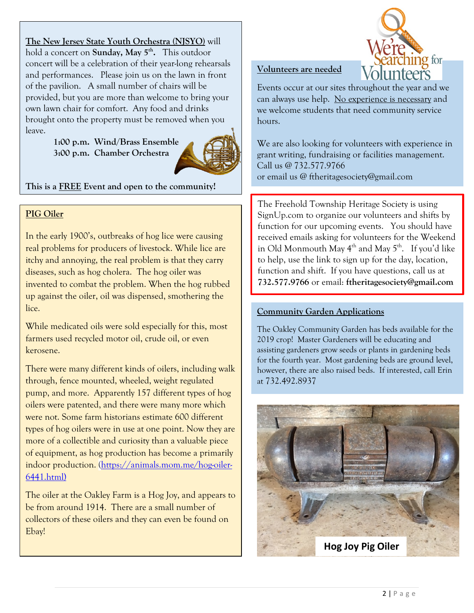**The New Jersey State Youth Orchestra (NJSYO)** will hold a concert on **Sunday, May 5<sup>th</sup>.** This outdoor concert will be a celebration of their year-long rehearsals and performances. Please join us on the lawn in front of the pavilion. A small number of chairs will be provided, but you are more than welcome to bring your own lawn chair for comfort. Any food and drinks brought onto the property must be removed when you leave.

> **1:00 p.m. Wind/Brass Ensemble 3:00 p.m. Chamber Orchestra**



**This is a FREE Event and open to the community!**

#### **PIG Oiler**

In the early 1900's, outbreaks of hog lice were causing real problems for producers of livestock. While lice are itchy and annoying, the real problem is that they carry diseases, such as hog cholera. The hog oiler was invented to combat the problem. When the hog rubbed up against the oiler, oil was dispensed, smothering the lice.

While medicated oils were sold especially for this, most farmers used recycled motor oil, crude oil, or even kerosene.

There were many different kinds of oilers, including walk through, fence mounted, wheeled, weight regulated pump, and more. Apparently 157 different types of hog oilers were patented, and there were many more which were not. Some farm historians estimate 600 different types of hog oilers were in use at one point. Now they are more of a collectible and curiosity than a valuable piece of equipment, as hog production has become a primarily indoor production. [\(https://animals.mom.me/hog-oiler-](https://animals.mom.me/hog-oiler-6441.html)[6441.html\)](https://animals.mom.me/hog-oiler-6441.html)

The oiler at the Oakley Farm is a Hog Joy, and appears to be from around 1914. There are a small number of collectors of these oilers and they can even be found on Ebay!

# ig for

#### **Volunteers are needed**

Events occur at our sites throughout the year and we can always use help. No experience is necessary and we welcome students that need community service hours.

We are also looking for volunteers with experience in grant writing, fundraising or facilities management. Call us @ 732.577.9766 or email us @ ftheritagesociety@gmail.com

The Freehold Township Heritage Society is using SignUp.com to organize our volunteers and shifts by function for our upcoming events. You should have received emails asking for volunteers for the Weekend in Old Monmouth May  $4^{th}$  and May  $5^{th}$ . If you'd like to help, use the link to sign up for the day, location, function and shift. If you have questions, call us at **732.577.9766** or email: **ftheritagesociety@gmail.com**

#### **Community Garden Applications**

The Oakley Community Garden has beds available for the 2019 crop! Master Gardeners will be educating and assisting gardeners grow seeds or plants in gardening beds for the fourth year. Most gardening beds are ground level, however, there are also raised beds. If interested, call Erin at 732.492.8937